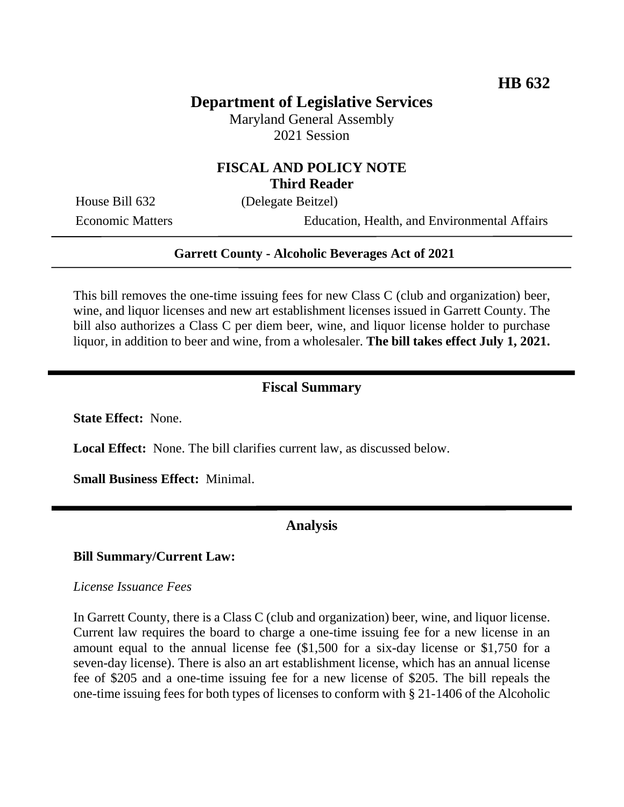# **Department of Legislative Services**

Maryland General Assembly 2021 Session

## **FISCAL AND POLICY NOTE Third Reader**

House Bill 632 (Delegate Beitzel)

Economic Matters Education, Health, and Environmental Affairs

### **Garrett County - Alcoholic Beverages Act of 2021**

This bill removes the one-time issuing fees for new Class C (club and organization) beer, wine, and liquor licenses and new art establishment licenses issued in Garrett County. The bill also authorizes a Class C per diem beer, wine, and liquor license holder to purchase liquor, in addition to beer and wine, from a wholesaler. **The bill takes effect July 1, 2021.** 

#### **Fiscal Summary**

**State Effect:** None.

**Local Effect:** None. The bill clarifies current law, as discussed below.

**Small Business Effect:** Minimal.

### **Analysis**

#### **Bill Summary/Current Law:**

#### *License Issuance Fees*

In Garrett County, there is a Class C (club and organization) beer, wine, and liquor license. Current law requires the board to charge a one-time issuing fee for a new license in an amount equal to the annual license fee (\$1,500 for a six-day license or \$1,750 for a seven-day license). There is also an art establishment license, which has an annual license fee of \$205 and a one-time issuing fee for a new license of \$205. The bill repeals the one-time issuing fees for both types of licenses to conform with § 21-1406 of the Alcoholic